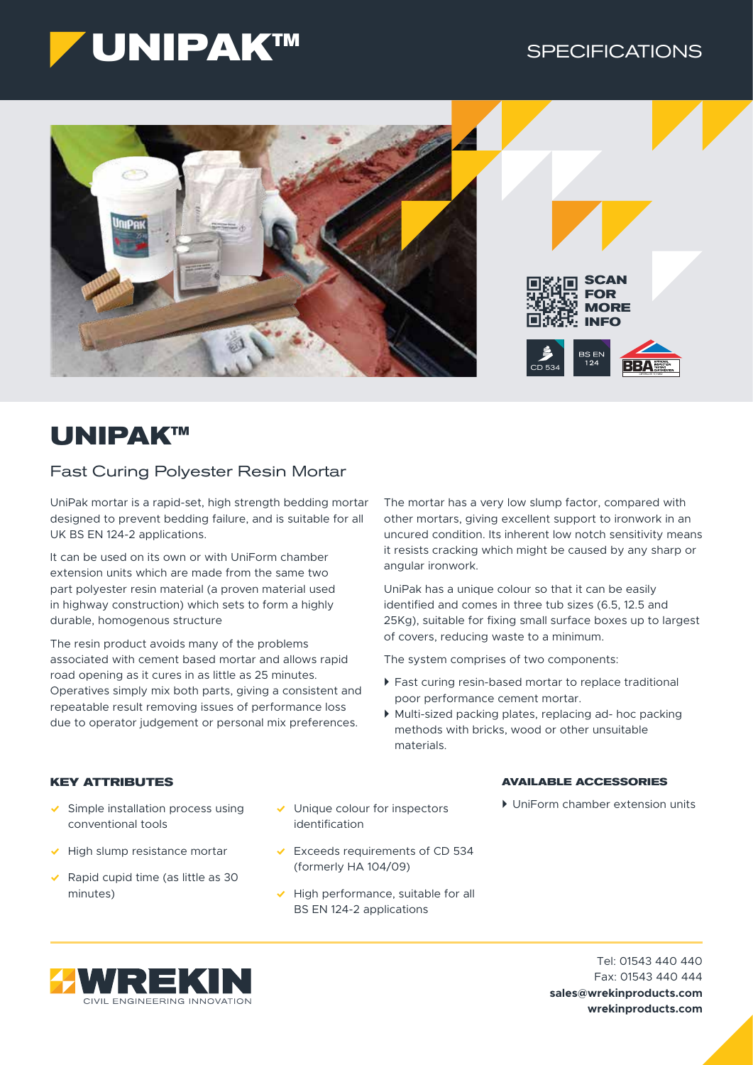



# **UNIPAK™**

# Fast Curing Polyester Resin Mortar

UniPak mortar is a rapid-set, high strength bedding mortar designed to prevent bedding failure, and is suitable for all UK BS EN 124-2 applications.

It can be used on its own or with UniForm chamber extension units which are made from the same two part polyester resin material (a proven material used in highway construction) which sets to form a highly durable, homogenous structure

The resin product avoids many of the problems associated with cement based mortar and allows rapid road opening as it cures in as little as 25 minutes. Operatives simply mix both parts, giving a consistent and repeatable result removing issues of performance loss due to operator judgement or personal mix preferences.

The mortar has a very low slump factor, compared with other mortars, giving excellent support to ironwork in an uncured condition. Its inherent low notch sensitivity means it resists cracking which might be caused by any sharp or angular ironwork.

UniPak has a unique colour so that it can be easily identified and comes in three tub sizes (6.5, 12.5 and 25Kg), suitable for fixing small surface boxes up to largest of covers, reducing waste to a minimum.

The system comprises of two components:

- $\triangleright$  Fast curing resin-based mortar to replace traditional poor performance cement mortar.
- ` Multi-sized packing plates, replacing ad- hoc packing methods with bricks, wood or other unsuitable materials.

# **KEY ATTRIBUTES**

- $\checkmark$  Simple installation process using conventional tools
- $\blacktriangleright$  High slump resistance mortar
- $\blacktriangleright$  Rapid cupid time (as little as 30 minutes)
- $\vee$  Unique colour for inspectors identification
- $\overline{\smile}$  Exceeds requirements of CD 534 (formerly HA 104/09)
- $\vee$  High performance, suitable for all BS EN 124-2 applications

### **AVAILABLE ACCESSORIES**

` UniForm chamber extension units

Tel: 01543 440 440 Fax: 01543 440 444 **sales@wrekinproducts.com wrekinproducts.com**

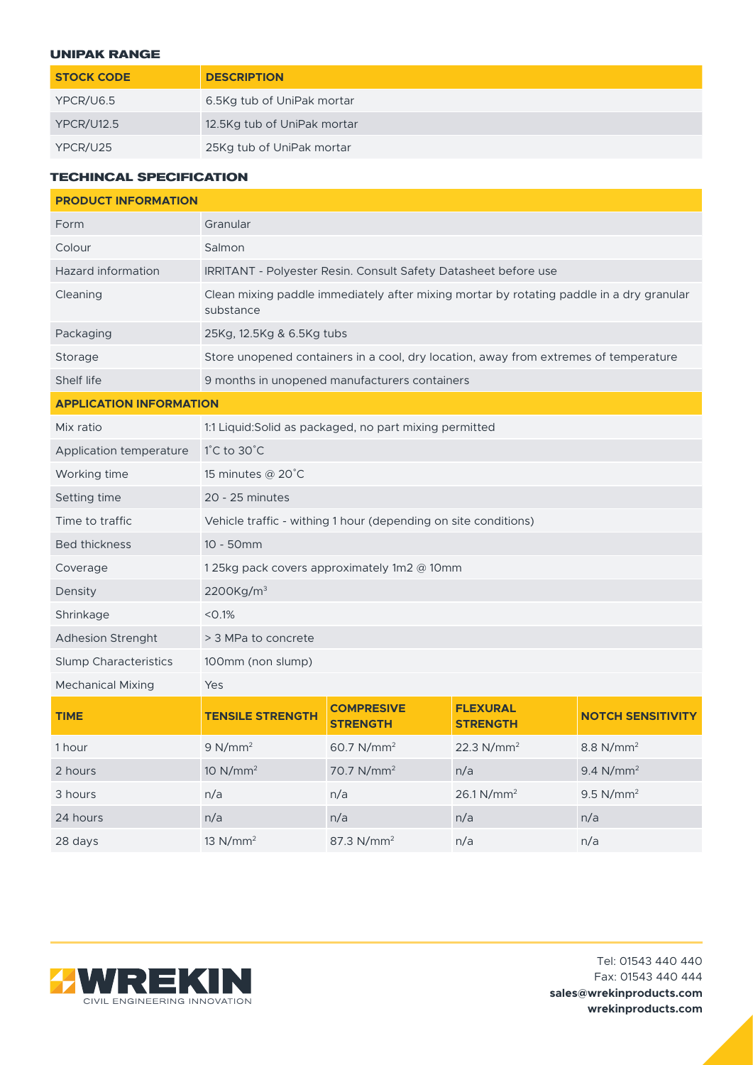## **UNIPAK RANGE**

| <b>STOCK CODE</b> | <b>DESCRIPTION</b>          |
|-------------------|-----------------------------|
| YPCR/U6.5         | 6.5Kg tub of UniPak mortar  |
| <b>YPCR/U12.5</b> | 12.5Kg tub of UniPak mortar |
| YPCR/U25          | 25Kg tub of UniPak mortar   |

# **TECHINCAL SPECIFICATION**

| <b>PRODUCT INFORMATION</b>     |                                                                                                       |                                      |                                    |                          |  |
|--------------------------------|-------------------------------------------------------------------------------------------------------|--------------------------------------|------------------------------------|--------------------------|--|
| Form                           | Granular                                                                                              |                                      |                                    |                          |  |
| Colour                         | Salmon                                                                                                |                                      |                                    |                          |  |
| Hazard information             | IRRITANT - Polyester Resin. Consult Safety Datasheet before use                                       |                                      |                                    |                          |  |
| Cleaning                       | Clean mixing paddle immediately after mixing mortar by rotating paddle in a dry granular<br>substance |                                      |                                    |                          |  |
| Packaging                      | 25Kg, 12.5Kg & 6.5Kg tubs                                                                             |                                      |                                    |                          |  |
| Storage                        | Store unopened containers in a cool, dry location, away from extremes of temperature                  |                                      |                                    |                          |  |
| Shelf life                     | 9 months in unopened manufacturers containers                                                         |                                      |                                    |                          |  |
| <b>APPLICATION INFORMATION</b> |                                                                                                       |                                      |                                    |                          |  |
| Mix ratio                      | 1:1 Liquid: Solid as packaged, no part mixing permitted                                               |                                      |                                    |                          |  |
| Application temperature        | $1^{\circ}$ C to 30 $^{\circ}$ C                                                                      |                                      |                                    |                          |  |
| Working time                   | 15 minutes @ 20°C                                                                                     |                                      |                                    |                          |  |
| Setting time                   | 20 - 25 minutes                                                                                       |                                      |                                    |                          |  |
| Time to traffic                | Vehicle traffic - withing 1 hour (depending on site conditions)                                       |                                      |                                    |                          |  |
| <b>Bed thickness</b>           | 10 - 50mm                                                                                             |                                      |                                    |                          |  |
| Coverage                       | 125kg pack covers approximately 1m2 @ 10mm                                                            |                                      |                                    |                          |  |
| Density                        | 2200Kg/m <sup>3</sup>                                                                                 |                                      |                                    |                          |  |
| Shrinkage                      | < 0.1%                                                                                                |                                      |                                    |                          |  |
| <b>Adhesion Strenght</b>       | > 3 MPa to concrete                                                                                   |                                      |                                    |                          |  |
| <b>Slump Characteristics</b>   | 100mm (non slump)                                                                                     |                                      |                                    |                          |  |
| <b>Mechanical Mixing</b>       | Yes                                                                                                   |                                      |                                    |                          |  |
| <b>TIME</b>                    | <b>TENSILE STRENGTH</b>                                                                               | <b>COMPRESIVE</b><br><b>STRENGTH</b> | <b>FLEXURAL</b><br><b>STRENGTH</b> | <b>NOTCH SENSITIVITY</b> |  |
| 1 hour                         | 9 N/mm <sup>2</sup>                                                                                   | 60.7 N/mm <sup>2</sup>               | 22.3 $N/mm^2$                      | 8.8 $N/mm^2$             |  |
| 2 hours                        | 10 N/mm <sup>2</sup>                                                                                  | 70.7 N/mm <sup>2</sup>               | n/a                                | 9.4 N/mm <sup>2</sup>    |  |
| 3 hours                        | n/a                                                                                                   | n/a                                  | 26.1 N/mm <sup>2</sup>             | $9.5$ N/mm <sup>2</sup>  |  |
| 24 hours                       | n/a                                                                                                   | n/a                                  | n/a                                | n/a                      |  |
| 28 days                        | 13 N/mm <sup>2</sup>                                                                                  | 87.3 N/mm <sup>2</sup>               | n/a                                | n/a                      |  |